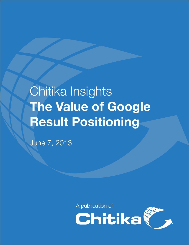# Chitika Insights **The Value of Google Result Positioning**

June 7, 2013

A publication of

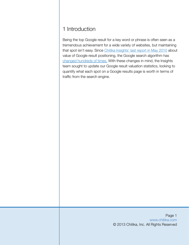# 1 Introduction

Being the top Google result for a key word or phrase is often seen as a tremendous achievement for a wide variety of websites, but maintaining that spot isn't easy. Since [Chitika Insights' last report in May 2010](http://chitika.com/insights/2010/the-value-of-google-result-positioning) about value of Google result positioning, the Google search algorithm has [changed hundreds of times.](http://moz.com/google-algorithm-change) With these changes in mind, the Insights team sought to update our Google result valuation statistics, looking to quantify what each spot on a Google results page is worth in terms of traffic from the search engine.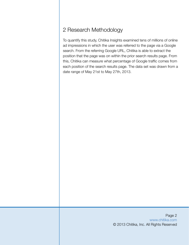# 2 Research Methodology

To quantify this study, Chitika Insights examined tens of millions of online ad impressions in which the user was referred to the page via a Google search. From the referring Google URL, Chitika is able to extract the position that the page was on within the prior search results page. From this, Chitika can measure what percentage of Google traffic comes from each position of the search results page. The data set was drawn from a date range of May 21st to May 27th, 2013.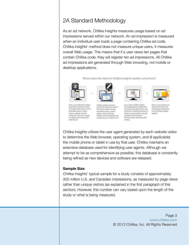# 2A Standard Methodology

As an ad network, Chitika Insights measures usage based on ad impressions served within our network. An ad impression is measured when an individual user loads a page containing Chitika ad code. Chitika Insights' method does not measure unique users, it measures overall Web usage. This means that if a user views ten pages that contain Chitika code, they will register ten ad impressions. All Chitika ad impressions are generated through Web browsing, not mobile or desktop applications.

Where does the data for Chitika Insights studies come from?



Data is generated by looking at general, impression-level user agent information. This is generated when a visitor views a website running Chitika ad code once a page is loaded (even if you don't click the ad)

Chitika analyzes general,

impression-level information like referrer. Web browser. operating system, search engine used to find the website, and if applicable, the mobile phone or tablet in use



For a study, Chitika Insights then aggregates all applicable<br>ad impression information, and performs a statistical analysis to obtain a representative sample<br>(example: Percentage of Windows users browsing with Firefoxi



Data is summarized and reported through text and graphics published on the Chitika Insights website

Chitika Insights utilizes the user agent generated by each website visitor to determine the Web browser, operating system, and (if applicable) the mobile phone or tablet in use by that user. Chitika maintains an extensive database used for identifying user agents. Although we attempt to be as comprehensive as possible, this database is constantly being refined as new devices and software are released.

#### **Sample Size**

Chitika Insights' typical sample for a study consists of approximately 300 million U.S. and Canadian impressions, as measured by page views rather than unique visitors (as explained in the first paragraph of this section). However, this number can vary based upon the length of the study or what is being measured.

> Page 3 [www.chitika.com](http://chitika.com) © 2013 Chitika, Inc. All Rights Reserved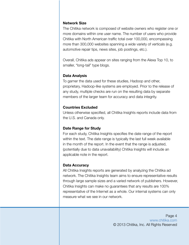### **Network Size**

The Chitika network is composed of website owners who register one or more domains within one user name. The number of users who provide Chitika with North American traffic total over 100,000, encompassing more than 300,000 websites spanning a wide variety of verticals (e.g. automotive repair tips, news sites, job postings, etc.).

Overall, Chitika ads appear on sites ranging from the Alexa Top 10, to smaller, "long-tail" type blogs.

## **Data Analysis**

To garner the data used for these studies, Hadoop and other, proprietary, Hadoop-like systems are employed. Prior to the release of any study, multiple checks are run on the resulting data by separate members of the larger team for accuracy and data integrity.

## **Countries Excluded**

Unless otherwise specified, all Chitika Insights reports include data from the U.S. and Canada only.

## **Date Range for Study**

For each study, Chitika Insights specifies the date range of the report within the text. The date range is typically the last full week available in the month of the report. In the event that the range is adjusted, (potentially due to data unavailability) Chitika Insights will include an applicable note in the report.

## **Data Accuracy**

All Chitika Insights reports are generated by analyzing the Chitika ad network. The Chitika Insights team aims to ensure representative results through large sample sizes and a varied network of publishers. However, Chitika Insights can make no guarantees that any results are 100% representative of the Internet as a whole. Our internal systems can only measure what we see in our network.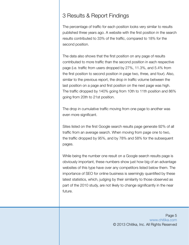## 3 Results & Report Findings

The percentage of traffic for each position looks very similar to results published three years ago. A website with the first position in the search results contributed to 33% of the traffic, compared to 18% for the second position.

The data also shows that the first position on any page of results contributed to more traffic than the second position in each respective page (i.e. traffic from users dropped by 27%, 11.3%, and 5.4% from the first position to second position in page two, three, and four). Also, similar to the previous report, the drop in traffic volume between the last position on a page and first position on the next page was high. The traffic dropped by 140% going from 10th to 11th position and 86% going from 20th to 21st position.

The drop in cumulative traffic moving from one page to another was even more significant.

Sites listed on the first Google search results page generate 92% of all traffic from an average search. When moving from page one to two, the traffic dropped by 95%, and by 78% and 58% for the subsequent pages.

While being the number one result on a Google search results page is obviously important, these numbers show just how big of an advantage websites of this type have over any competitors listed below them. The importance of SEO for online business is seemingly quantified by these latest statistics, which, judging by their similarity to those observed as part of the 2010 study, are not likely to change significantly in the near future.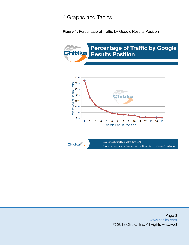## 4 Graphs and Tables

**Figure 1:** Percentage of Traffic by Google Results Position



Page 6 [www.chitika.com](http://chitika.com) © 2013 Chitika, Inc. All Rights Reserved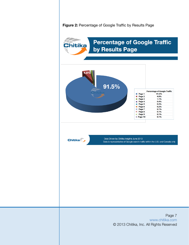**Figure 2:** Percentage of Google Traffic by Results Page

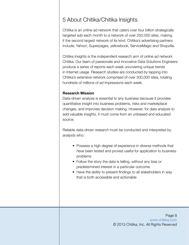# 5 About Chitika/Chitika Insights

Chitika is an online ad network that caters over four billion strategically targeted ads each month to a network of over 250,000 sites, making it the second largest network of its kind. Chitika's advertising partners include; Yahoo!, Superpages, yellowbook, ServiceMagic and Shopzilla.

Chitika Insights is the independent research arm of online ad network Chitika. Our team of passionate and innovative Data Solutions Engineers produce a series of reports each week uncovering unique trends in Internet usage. Research studies are conducted by tapping into Chitika's extensive network comprised of over 300,000 sites, totaling hundreds of millions of ad impressions each week.

### **Research Mission**

Data-driven analysis is essential to any business because it provides quantitative insight into business problems, risks and marketplace changes, and improves decision making. However, for data analysis to add valuable insights, it must come from an unbiased and educated source.

Reliable data-driven research must be conducted and interpreted by analysts who:

- Possess a high degree of experience in diverse methods that have been tested and proved useful for application to business problems
- Follow the story the data is telling, without any bias or predetermined interest in a particular outcome
- Have the ability to present findings to all stakeholders in way that is both accessible and actionable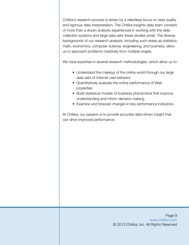Chitika's research process is driven by a relentless focus on data quality and rigorous data interpretation. The Chitika Insights data team consists of more than a dozen analysts experienced in working with the data collection systems and large data sets these studies entail. The diverse backgrounds of our research analysts, including such areas as statistics, math, economics, computer science, engineering, and business, allow us to approach problems creatively from multiple angles.

We have expertise in several research methodologies, which allow us to:

- Understand the makeup of the online world through our large data sets of Internet user behavior
- Quantitatively evaluate the online performance of Web properties
- Build statistical models of business phenomena that improve understanding and inform decision making
- Examine and forecast changes in key performance indicators

At Chitika, our passion is to provide accurate data-driven insight that can drive improved performance.